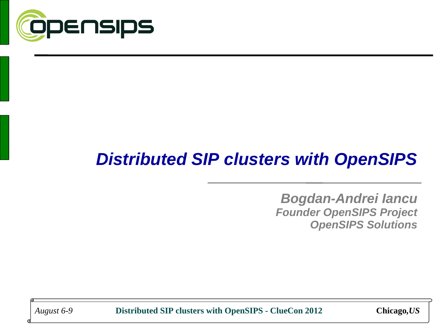

## *Distributed SIP clusters with OpenSIPS*

*Bogdan-Andrei Iancu Founder OpenSIPS Project OpenSIPS Solutions*

*August 6-9* **Distributed SIP clusters with OpenSIPS - ClueCon 2012 Chicago***,US*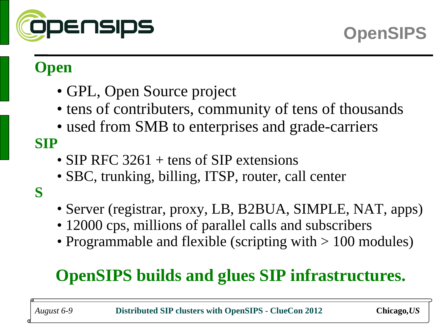

## **Open**

- GPL, Open Source project
- tens of contributers, community of tens of thousands
- used from SMB to enterprises and grade-carriers

#### **SIP**

- SIP RFC 3261 + tens of SIP extensions
- SBC, trunking, billing, ITSP, router, call center
- **S**
- Server (registrar, proxy, LB, B2BUA, SIMPLE, NAT, apps)
- 12000 cps, millions of parallel calls and subscribers
- Programmable and flexible (scripting with  $> 100$  modules)

## **OpenSIPS builds and glues SIP infrastructures.**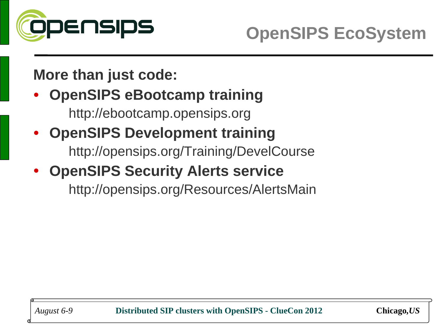

#### **More than just code:**

#### • **OpenSIPS eBootcamp training** http://ebootcamp.opensips.org

## • **OpenSIPS Development training** http://opensips.org/Training/DevelCourse

## • **OpenSIPS Security Alerts service**

http://opensips.org/Resources/AlertsMain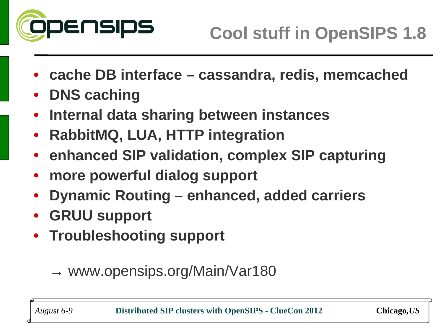

- **cache DB interface cassandra, redis, memcached**
- **DNS caching**
- **Internal data sharing between instances**
- **RabbitMQ, LUA, HTTP integration**
- **enhanced SIP validation, complex SIP capturing**
- **more powerful dialog support**
- **Dynamic Routing enhanced, added carriers**
- **GRUU support**
- **Troubleshooting support**

#### $\rightarrow$  www.opensips.org/Main/Var180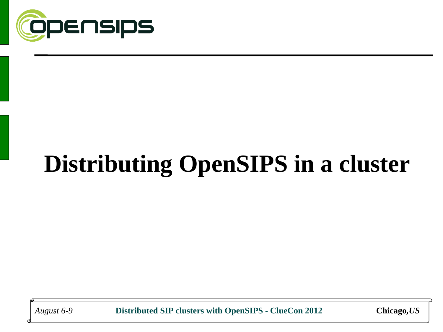

# **Distributing OpenSIPS in a cluster**

*August 6-9* **Distributed SIP clusters with OpenSIPS - ClueCon 2012 Chicago***,US*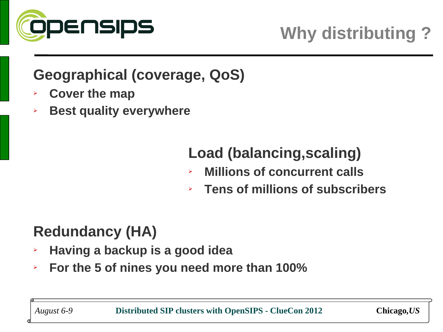

#### **Geographical (coverage, QoS)**

- ➢ **Cover the map**
- ➢ **Best quality everywhere**

## **Load (balancing,scaling)**

- ➢ **Millions of concurrent calls**
- ➢ **Tens of millions of subscribers**

## **Redundancy (HA)**

- ➢ **Having a backup is a good idea**
- ➢ **For the 5 of nines you need more than 100%**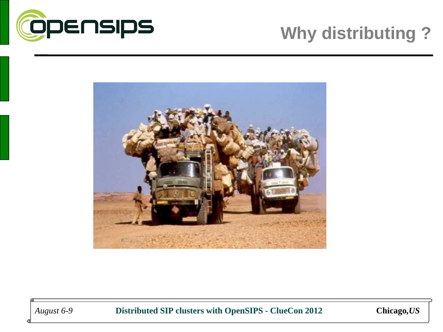



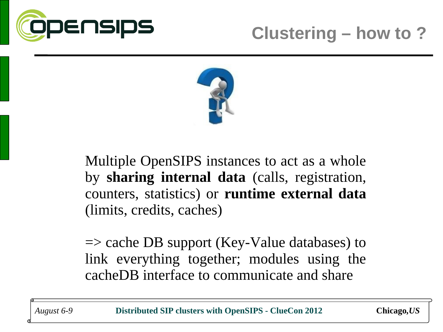



Multiple OpenSIPS instances to act as a whole by **sharing internal data** (calls, registration, counters, statistics) or **runtime external data** (limits, credits, caches)

 $\Rightarrow$  cache DB support (Key-Value databases) to link everything together; modules using the cacheDB interface to communicate and share

*August 6-9* **Distributed SIP clusters with OpenSIPS - ClueCon 2012 Chicago***,US*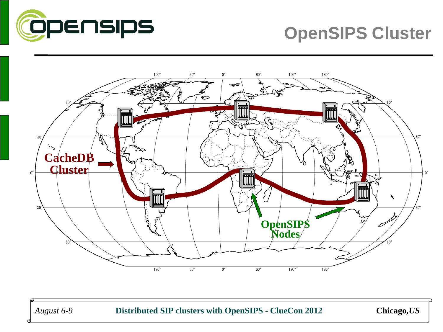

## **OpenSIPS Cluster**



*August 6-9* **Distributed SIP clusters with OpenSIPS - ClueCon 2012 Chicago***,US*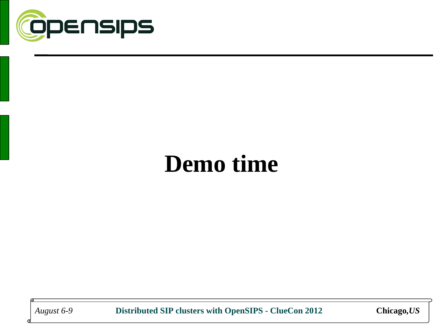

## **Demo time**

*August 6-9* **Distributed SIP clusters with OpenSIPS - ClueCon 2012 Chicago***,US*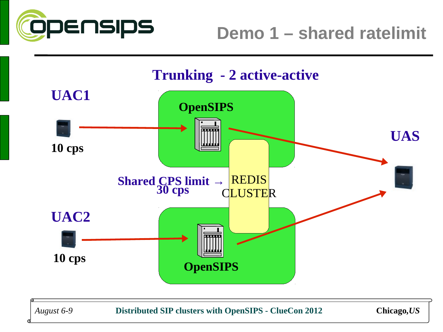

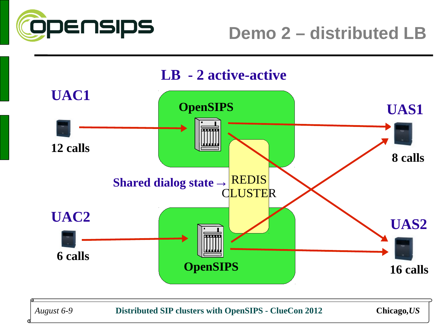



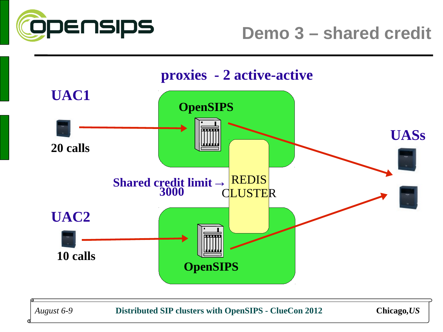